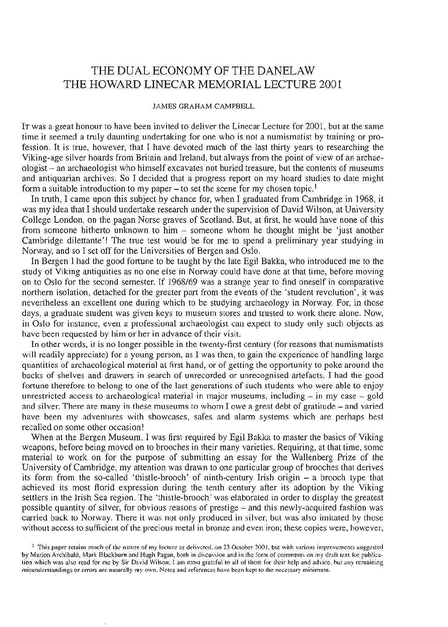# THE DUAL ECONOMY OF THE DANELAW THE HOWARD LINECAR MEMORIAL LECTURE 2001

#### JAMES GRAHAM-CAMPBELL

IT was a great honour to have been invited to deliver the Linecar Lecture for 2001, but at the same time it seemed a truly daunting undertaking for one who is not a numismatist by training or pro-<br>fession. It is true, however, that I have devoted much of the last thirty years to researching the Viking-age silver hoards from Britain and Ireland, but always from the point of view of an archae- ologist - an archaeologist who himself excavates not buried treasure, but the contents of museums and antiquarian archives. So I decided that a progress report on my hoard studies to date might form a suitable introduction to my paper – to set the scene for my chosen topic.<sup>1</sup>

In truth, I came upon this subject by chance for, when I graduated from Cambridge in 1968, it was my idea that I should undertake research under the supervision of David Wilson, at University College London, on the pagan Norse graves of Scotland. But, at first, he would have none of this from someone hitherto unknown to him - someone whom he thought might be 'just another Cambridge dilettante'! The true test would be for me to spend a preliminary year studying in Norway, and so I set off for the Universities of Bergen and Oslo.

In Bergen I had the good fortune to be taught by the late Egil Bakka, who introduced me to the study of Viking antiquities as no one else in Norway could have done at that time, before moving on to Oslo for the second semester. If 1968/69 was a strange year to find oneself in comparative northern isolation, detached for the greater part from the events of the 'student revolution', it was nevertheless an excellent one during which to be studying archaeology in Norway. For, in those days, a graduate student was given keys to museum stores and trusted to work there alone. Now, in Oslo for instance, even a professional archaeologist can expect to study only such objects as have been requested by him or

In other words, it is no longer possible in the twenty-first century (for reasons that numismatists will readily appreciate) for a young person, as I was then, to gain the experience of handling large quantities of archaeological material at first hand, or of getting the opportunity to poke around the backs of shelves and drawers in search of unrecorded or unrecognised artefacts. I had the good fortune therefore to belong to one of the last generations of such students who were able to enjoy unrestricted access to archaeological material in major museums, including  $-$  in my case  $-$  gold and silver. There are many in these museums to whom I owe a great debt of gratitude - and varied have been my adventures with showcases, safes and alarm systems which are perhaps best recalled on some other occasion!

When at the Bergen Museum, I was first required by Egil Bakka to master the basics of Viking weapons, before being moved on to brooches in their many varieties. Requiring, at that time, some material to work on for the purpose of submitting an essay for the Wallenberg Prize of the University of Cambridge, my attention was drawn to one particular group of brooches that derives its form from the so-called 'thistle-brooch' of ninth-century Irish origin - a brooch type that achieved its most florid expression during the tenth century after its adoption by the Viking settlers in the Irish Sea region. The 'thistle-brooch' was elaborated in order to display the greatest possible quantity of silver, for obvious reasons of prestige - and this newly-acquired fashion was carried back to Norway. There it was not only produced in silver, but was also imitated by those without access to sufficient of the precious metal in bronze and even iron; these copies were, however,

<sup>&</sup>lt;sup>1</sup> This paper retains much of the nature of my lecture as delivered, on 23 October 2001, but with various improvements suggested<br>by Marion Archibald, Mark Blackburn and Hugh Pagan, both in discussion and in the form of co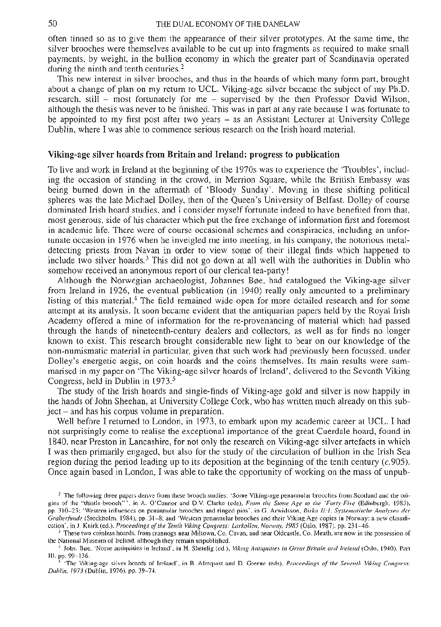often tinned so as to give them the appearance of their silver prototypes. At the same time, the silver brooches were themselves available to be cut up into fragments as required to make small payments, by weight, in the bullion economy in which the greater part of Scandinavia operated during the ninth and tenth centuries.<sup>2</sup>

This new interest in silver brooches, and thus in the hoards of which many form part, brought about a change of plan on my return to UCL. Viking-age silver became the subject of my Ph.D. research, still – most fortunately for me – supervised by the then Professor David Wilson, although the thesis was never to be finished. This was in part at any rate because I was fortunate to be appointed to my first pos

## **Viking-age silver hoards from Britain and Ireland: progress to publication**

To live and work in Ireland at the beginning of the 1970s was to experience the 'Troubles', includ- ing the occasion of standing in the crowd, in Merrion Square, while the British Embassy was being burned down in the aftermath of 'Bloody Sunday'. Moving in these shifting political spheres was the late Michael Dolley, then of the Queen's University of Belfast. Dolley of course dominated Irish hoard studies, and I consider myself fortunate indeed to have benefited from that, most generous, side of his character which put the free exchange of information first and foremost in academic life. There tunate occasion in 1976 when he inveigled me into meeting, in his company, the notorious metal-<br>detecting priests from Navan in order to view some of their illegal finds which happened to<br>include two silver hoards.<sup>3</sup> This

Although the Norwegian archaeologist, Johannes Bøe, had catalogued the Viking-age silver from Ireland in 1926, the eventual publication (in 1940) really only amounted to a preliminary listing of this material.4 The field remained wide open for more detailed research and for some attempt at its analysis. It soon became evident that the antiquarian papers held by the Royal Irish<br>Academy offered a mine of information for the re-provenancing of material which had passed through the hands of nineteenth-century dealers and collectors, as well as for finds no longer known to exist. This research brought considerable new light to bear on our knowledge of the non-numismatic material in particular, given that such work had previously been focussed, under Dolley's energetic aegis, on coin hoards and the coins themselves. Its main results were sum-<br>marised in my paper on 'The Viking-age silver hoards of Ireland', delivered to the Seventh Viking<br>Congress, held in Dublin in 19

The study of the Irish hoards and single-finds of Viking-age gold and silver is now happily in the hands of John Sheehan, at University College Cork, who has written much already on this sub-<br>ject – and has his corpus volume in preparation.<br>Well before I returned to London, in 1973, to embark upon my academic career

not surprisingly come to realise the exceptional importance of the great Cuerdale hoard, found in 1840, near Preston in Lancashire, for not only the research on Viking-age silver artefacts in which I was then primarily engaged, but also for the study of the circulation of bullion in the Irish Sea region during the period leading up to its deposition at the beginning of the tenth century  $(c.905)$ .<br>Once again based in London, I was able to take the opportunity of working on the mass of unpub-

<sup>&</sup>lt;sup>2</sup> The following three papers derive from these brooch studies: 'Some Viking-age penannular brooches from Scotland and the origins of the "thistle-brooch"', in A. O'Connor and D.V. Clarke (eds), *From the Stone Age to th* 

<sup>&</sup>lt;sup>4</sup> Johs. Boe, 'Norse antiquities in Ireland<sup>'</sup>, in H. Shetelig (ed.), Viking Antiquities in Great Britain and Ireland (Oslo, 1940), Part

III, pp. 99-136.<br>5 'The Viking-age silver hoards of Ireland', in B. Almqvist and D. Greene (eds). *Proceedings of the Seventh Viking Congress*,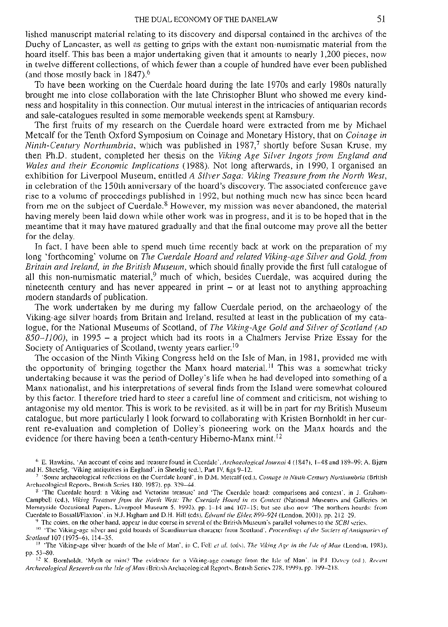lished manuscript material relating to its discovery and dispersal contained in the archives of the Duchy of Lancaster, as well as getting to grips with the extant non-numismatic material from the hoard itself. This has be in twelve different collections, of which fewer than a couple of hundred have ever been published (and those mostly back in  $1847$ ).<sup>6</sup><br>To have been working on the Cuerdale hoard during the late 1970s and early 1980s natu

brought me into close collaboration with the late Christopher Blunt who showed me every kindness and hospitality in this connection. Our mutual interest in the intricacies of antiquarian records and sale-catalogues resulte

The first fruits of my research on the Cuerdale hoard were extracted from me by Michael Metcalf for the Tenth Oxford Symposium on Coinage and Monetary History, that on *Coinage in*  then Ph.D. student, completed her thesis on the Viking Age Silver Ingots from England and Wales and their Economic Implications (1988). Not long afterwards, in 1990, I organised an exhibition for Liverpool Museum, entitled in celebration of the 150th anniversary of the hoard's discovery. The associated conference gave rise to a volume of proceedings published in 1992, but nothing much new has since been heard from me on the subject of Cuerdale.<sup>8</sup> However, my mission was never abandoned, the material having merely been laid down while other work was in progress, and it is to be hoped that in the meantime that it may have matured gradually and that the final outcome may prove all the better

for the delay. In fact, I have been able to spend much time recently back at work on the preparation of my long 'forthcoming' volume on *The Cuerdale Hoard and related Viking-age Silver and Gold, from Britain and Ireland, in the British Museum,* which should finally provide the first full catalogue of all this non-numismatic material,<sup>9</sup> much of which, besides Cuerdale, was acquired during the nineteenth century and has never appeared in print  $-$  or at least not to anything approaching

modern standards of publication.<br>The work undertaken by me during my fallow Cuerdale period, on the archaeology of the Viking-age silver hoards from Britain and Ireland, resulted at least in the publication of my cata-<br>log Society of Antiquaries of Scotland, twenty years earlier.<sup>10</sup>

The occasion of the Ninth Viking Congress held on the Isle of Man, in 1981, provided me with the opportunity of bringing together the Manx hoard material.<sup>11</sup> This was a somewhat tricky undertaking because it was the period of Dolley's life when he had developed into something of a Manx nationalist, and his interpretations of several finds from the Island were somewhat coloured by this factor. I therefore tried hard to steer a careful line of comment and criticism, not wishing to antagonise my old mentor. This is work to be revisited, as it will be in part for my British Museum rent re-evaluation and completion of Dolley's pioneering work on the Manx hoards and the evidence for there having been a tenth-century Hiberno-Manx mint.<sup>12</sup>

<sup>&</sup>lt;sup>6</sup> E. Hawkins, 'An account of coins and treasure found in Cuerdale', *Archaeological Journal* 4 (1847), 1-48 and 189-99; A. Bjørn and H. Shetelig, 'Viking antiquities in England'. in Shetelig (ed.), Part IV, figs 9-12.

<sup>&</sup>lt;sup>7</sup> 'Some archaeological reflections on the Cuerdale hoard', in D.M. Metcalf (ed.), *Comage in Ninth-Century Northumbria* (British Archaeological Reports, British Series 180, 1987), pp. 329–44.

<sup>&</sup>lt;sup>8</sup> 'The Cuerdale hoard: a Viking and Victorian treasure' and 'The Cuerdale hoard: comparisons and context', in J. Graham-Campbell (ed.), Viking Treasure from the North West: The Cuerdale Hoard in its Context (National Mus Merseyside Occasional Papers, Liverpool Museum 5, 1992), pp. 1-14 and 107-15; but see also now 'The northern hoards: from<br>Cuerdale to Bossall/Flaxton', in N.J. Higham and D.H. Hill (eds), Edward the Elder, 899-924 (London,

<sup>&</sup>lt;sup>9</sup> The coins, on the other hand, appear in due course in several of the British Museum's parallel volumes to the *SCBI* series.<br><sup>10</sup> The Viking-age silver and gold hoards of Scandinavian character from Scotland', *Procee*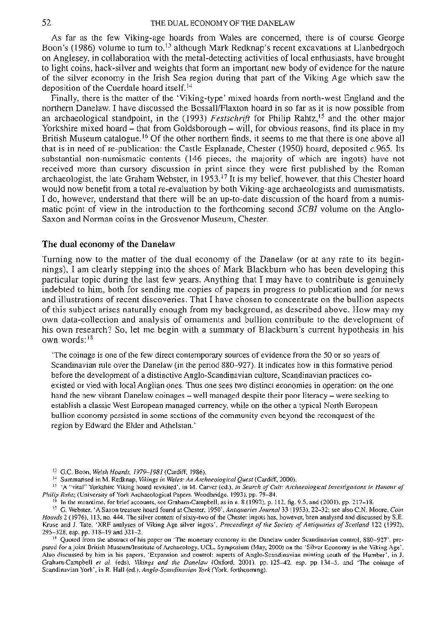As far as the few Viking-age hoards from Wales are concerned, there is of course George Boon's (1986) volume to turn to,<sup>13</sup> although Mark Redknap's recent excavations at Llanbedrgoch on Anglesey, in collaboration with the metal-detecting activities of local enthusiasts, have brought to light coins, hack-silver and weights that form an important new body of evidence for the nature of the silver economy in the Irish Sea region during that part of the Viking Age which saw the deposition of the Cuerdale hoard itself.<sup>14</sup><br>Finally, there is the matter of the 'Viking-type' mixed hoards from north-west England and the

northern Danelaw. I have discussed the Bossall/Flaxton hoard in so far as it is now possible from an archaeological standpoint, in the (1993) *Festschrift* for Philip Rahtz,<sup>15</sup> and the other major<br>Yorkshire mixed hoard – that from Goldsborough – will, for obvious reasons, find its place in my British Museum catalogue.<sup>16</sup> Of the other northern finds, it seems to me that there is one above all that is in need of re-publication: the Castle Esplanade, Chester (1950) hoard, deposited c.965. Its substantial non-numismatic contents (146 pieces, the majority of which are ingots) have not received more than cursory discussion in print since they were first published by the Roman archaeologist, the late Graham Webster, in  $1953.17$  It is my belief, however, that this Chester hoard<br>would now benefit from a total re-evaluation by both Viking-age archaeologists and numismatists.<br>I do, however, unders

### **The dual economy of the Danelaw**

Turning now to the matter of the dual economy of the Danelaw (or at any rate to its begin- nings), I am clearly stepping into the shoes of Mark Blackburn who has been developing this particular topic during the last few years. Anything that I may have to contribute is genuinely indebted to him, both for sending me copies of papers in progress to publication and for news and illustrations of recent discoveries. That I have chosen to concentrate on the bullion aspects of this subject arises naturally enough from my background, as described above. How may my own data-collection and analysis of ornaments and bullion contribute to the development of his own research? So, let me begin with a summary of Blackburn's current hypothesis in his own words:18

'The coinage is one of the few direct contemporary sources of evidence from the 50 or so years of Scandinavian rule over the Danelaw (in the period 880–927). It indicates how in this formative period<br>before the development of a distinctive Anglo-Scandinavian culture, Scandinavian practices coexisted or vied with local Anglian ones. Thus one sees two distinct economies in operation: on the one hand the new vibrant Danelaw coinages – well managed despite their poor literacy – were seeking to establish a classic West European managed currency, while on the other a typical North European bullion economy persisted in some sections of the community even beyond the reconquest of the region by Edward the Elder and Athelstan.'

<sup>13</sup> G.C. Boon, Welsh Hoards, 1979–1981 (Cardiff, 1986).<br><sup>14</sup> Summarised in M. Redknap, *Wkings in Wates: An Archaeological Quest* (Cardiff, 2000).<br><sup>15</sup> 'A "vital' Yorkshire Viking hoard revisited', in M. Carver (ed.), In Graham-Campbell et al. (eds), *Vikings and the Danelaw* (Oxford, 2001), pp. 125–42, esp. pp. 134–5, and 'The coinage of Scandinavian York', in R. Hall (ed.), *Anglo-Scandinavian York* (York, forthcoming).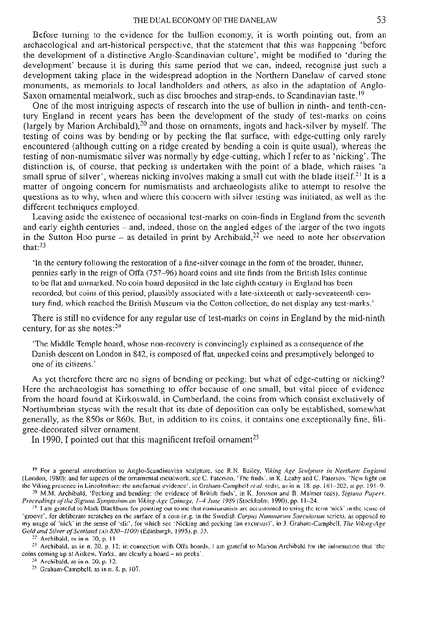Before turning to the evidence for the bullion economy, it is worth pointing out, from an archaeological and art-historical perspective, that the statement that this was happening 'before<br>the development of a distinctive Anglo-Scandinavian culture', might be modified to 'during the<br>development' because it is du development taking place in the widespread adoption in the Northern Danelaw of carved stone monuments, as memorials to local landholders and others, as also in the adaptation of Anglo-<br>Saxon ornamental metalwork, such as disc brooches and strap-ends, to Scandinavian taste.<sup>19</sup><br>One of the most intriguing aspects o

tury England in recent years has been the development of the study of test-marks on coins (largely by Marion Archibald),<sup>20</sup> and those on ornaments, ingots and hack-silver by myself. The testing of coins was by bending or encountered (although cutting on a ridge created by bending a coin is quite usual), whereas the testing of non-numismatic silver was normally by edge-cutting, which I refer to as 'nicking'. The distinction is, of course, that pecking is undertaken with the point of a blade, which raises 'a small sprue of silver', whereas nicking involves making a small cut with the blade itself.<sup>21</sup> It is a matter of ongoing concern for numismatists and archaeologists alike to attempt to resolve the questions as to why, when and where this concern with silver testing was initiated, as well as the different techniques employed.<br>Leaving aside the existence of occasional test-marks on coin-finds in England from the seventh

and early eighth centuries – and, indeed, those on the angled edges of the larger of the two ingots in the Sutton Hoo purse – as detailed in print by Archibald,<sup>22</sup> we need to note her observation that:23

'In the century following the restoration of a fine-silver coinage in the form of the broader, thinner, pennies early in the reign of Offa (757—96) hoard coins and site finds from the British Isles continue to be flat and unmarked. No coin hoard deposited in the late eighth century in England has been<br>recorded, but coins of this period, plausibly associated with a late-sixteenth or early-seventeenth century find, which reached the British Museum via the Cotton collection, do not display any test-marks.'

There is still no evidence for any regular use of test-marks on coins in England by the mid-ninth century, for as she notes: $24$ 

'The Middle Temple hoard, whose non-recovery is convincingly explained as a consequence of the Danish descent on London in 842, is composed of flat, unpecked coins and presumptively belonged to one of its citizens.'

As yet therefore there are no signs of bending or pecking; but what of edge-cutting or nicking? Here the archaeologist has something to offer because of one small, but vital piece of evidence from the hoard found at Kirkoswald, in Cumberland, the coins from which consist exclusively of Northumbrian stycas with the result that its date of deposition can only be established, somewhat generally, as the 850s or 860s. But, in addition to its coins, it contains one exceptionally fine, fili-

In 1990, I pointed out that this magnificent trefoil ornament<sup>25</sup>

<sup>&</sup>lt;sup>19</sup> For a general introduction to Anglo-Scandinavian sculpture, see R.N. Bailey, *Viking Age Sculpture in Northern England* (London, 1980); and for aspects of the ornamental metalwork, see C. Paterson, 'The finds', in K.

<sup>&</sup>lt;sup>29</sup> M.M. Archibald, 'Pecking and bending: the evidence of British finds', in K. Jonsson and B. Malmer (eds), Signina Papers.<br>*Proceedings of the Signina Symposium on Viking-Age Coinage, 1–4 June 1989* (Stockholm, 1990),

<sup>&#</sup>x27;groove', for deliberate scratches on the surface of a coin (e.g. in the Swedish *Corpus Nummorum Saeculorum* series), as opposed to my usage of 'nick' in the sense of 'slit', for which see 'Nicking and pecking (an excursu Gold and Silver of Scotland (AD 850–1100) (Edinburgh, 1995). p. 33.<br><sup>22</sup> Archibald, as in n. 20, p. 11<br><sup>23</sup> Archibald, as in n. 20, p. 12; in connection with Offa hoards, I am grateful to Marion Archibald for the informat

coins coming up at Aiskew, Yorks., are clearly a hoard - no pecks'.<br><sup>24</sup> Archibald, as in n. 20, p. 12.<br><sup>25</sup> Graham-Campbell, as in n. 8, p. 107.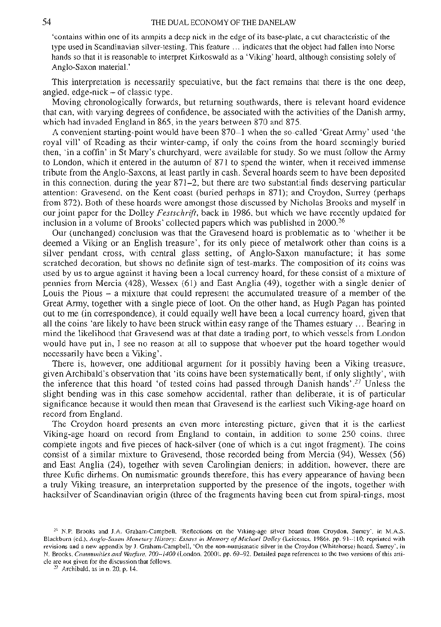'contains within one of its armpits a deep nick in the edge of its base-plate, a cut characteristic of the type used in Scandinavian silver-testing. This feature ... indicates that the object had fallen into Norse hands so that it is reasonable to interpret Kirkoswald as a 'Viking' hoard, although consisting solely of Anglo-Saxon material.'

This interpretation is necessarily speculative, but the fact remains that there is the one deep,<br>angled, edge-nick – of classic type.<br>Moving chronologically forwards, but returning southwards, there is relevant hoard evide

royal vill' of Reading as their winter-camp, if only the coins from the hoard seemingly buried<br>then, 'in a coffin' in St Mary's churchyard, were available for study. So we must follow the Army<br>to London, which it entered i tribute from the Anglo-Saxons, at least partly in cash. Several hoards seem to have been deposited in this connection, during the year  $871-2$ , but there are two substantial finds deserving particular attention: Gravesend, on the Kent coast (buried perhaps in 871); and Croydon, Surrey (perhaps from 872). Both of these hoards were amongst those discussed by Nicholas Brooks and myself in our joint paper for the Dolley *Festschrift*, back in 1986, but which we have recently updated for inclusion in a volume of Brooks' collected papers which was published in 2000.<sup>26</sup>

Our (unchanged) conclusion was that the Gravesend hoard is problematic as to 'whether it be deemed a Viking or an English treasure', for its only piece of metalwork other than coins is a silver pendant cross, with central glass setting, of Anglo-Saxon manufacture; it has some scratched decoration, but shows no definite sign of test-marks. The composition of its coins was used by us to argue against it having been a local currency hoard, for these consist of a mixture of pennies from Mercia (428), Wessex (61) and East Anglia (49), together with a single denier of Louis the Pious - a mixture that could represent the accumulated treasure of a member of the Great Army, together with a single piece of loot. On the other hand, as Hugh Pagan has pointed out to me (in correspondence), it could equally well have been a local currency hoard, given that all the coins 'are likely to have been struck within easy range of the Thames estuary ... Bearing in mind the likelihood that Gravesend was at that date a trading port, to which vessels from London would have put in, I see no reason at all to suppose that whoever put the hoard together would<br>necessarily have been a Viking'.<br>There is, however, one additional argument for it possibly having been a Viking treasure,<br>give

the inference that this hoard 'of tested coins had passed through Danish hands'.<sup>27</sup> Unless the slight bending was in this case somehow accidental, rather than deliberate, it is of particular significance because it would then mean that Gravesend is the earliest such Viking-age hoard on

The Croydon hoard presents an even more interesting picture, given that it is the earliest Viking-age hoard on record from England to contain, in addition to some 250 coins, three complete ingots and five pieces of hack-silver (one of which is a cut ingot fragment). The coins consist of a similar mixture to Gravesend, those recorded being from Mercia (94), Wessex (56) three Kufic dirhems. On numismatic grounds therefore, this has every appearance of having been a truly Viking treasure, an interpretation supported by the presence of the ingots, together with hacksilver of Scandinavian origin (three of the fragments having been cut from spiral-rings, most

<sup>&</sup>lt;sup>26</sup> N.P. Brooks and J.A. Graham-Campbell, 'Reflections on the Viking-age silver hoard from Croydon, Surrey', in M.A.S.<br>Blackburn (ed.), Anglo-Saxon Monetary History: Essays in Memory of Michael Dolley (Leicester, 1986), p revisions and a new appendix by J. Graham-Campbell, 'On the non-numismatic silver in the Croydon (Whitehorse) hoard, Surrey', in N. Brooks, *Communities and Warfare, 700-1400* (London, 2000), pp. 69-92. Detailed page references to the two versions of this arti-<br>cle are not given for the discussion that follows. <sup>27</sup> Archibald, as in n. 20, p. 14.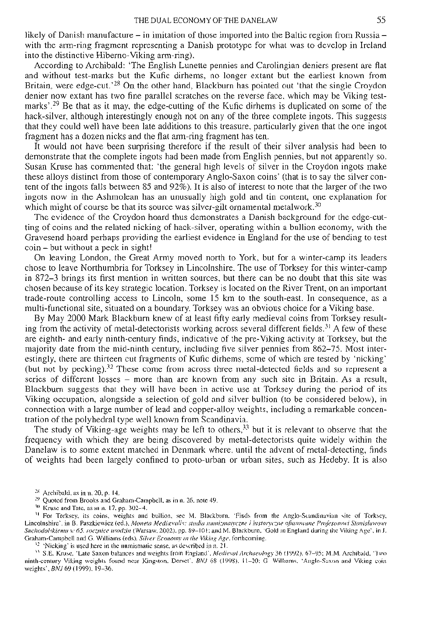likely of Danish manufacture  $-$  in imitation of those imported into the Baltic region from Russia  $$ with the arm-ring fragment representing a Danish prototype for what was to develop in Ireland into the distinctive Hiberno-Viking arm-ring).

According to Archibald: 'The English Lunette pennies and Carolingian deniers present are flat and without test-marks but the Kufic dirhems, no longer extant but the earliest known from Britain, were edge-cut.'<sup>28</sup> On the other hand, Blackburn has pointed out 'that the single Croydon denier now extant has two fine parallel scratches on the reverse face, which may be Viking test-<br>marks'.<sup>29</sup> Be that as it may, the edge-cutting of the Kufic dirhems is duplicated on some of the<br>hack-silver, although inter that they could well have been late additions to this treasure, particularly given that the one ingot fragment has a dozen nicks and the flat arm-ring fragment has ten.

It would not have been surprising therefore if the result of their silver analysis had been to demonstrate that the complete ingots had been made from English pennies, but not apparently so. Susan Kruse has commented that: these alloys distinct from those of contemporary Anglo-Saxon coins' (that is to say the silver content of the ingots falls between 85 and 92%). It is also of interest to note that the larger of the two ingots now in the Ashmolean has an unusually high gold and tin content, one explanation for which might of course be that its source was silver-gilt ornamental metalwork.<sup>30</sup>

The evidence of the Croydon hoard thus demonstrates a Danish background for the edge-cut- ting of coins and the related nicking of hack-silver, operating within a bullion economy, with the Gravesend hoard perhaps providing the earliest evidence in England for the use of bending to test coin - but without a peck in sight!

On leaving London, the Great Army moved north to York, but for a winter-camp its leaders in 872-3 brings its first mention in written sources, but there can be no doubt that this site was chosen because of its key strategic location. Torksey is located on the River Trent, on an important trade-route controlling access to Lincoln, some 15 km to the south-east. In consequence, as a multi-functional site, situated on a boundary, Torksey was an obvious choice for a Viking base.

By May 2000 Mark Blackburn knew of at least fifty early medieval coins from Torksey resulting from the activity of metal-detectorists working across several different fields.<sup>31</sup> A few of these are eighth- and early ninth-century finds, indicative of the pre-Viking activity at Torksey, but the majority date from the mid-ninth century, including five silver pennies from 862-75. Most inter- estingly, there are thirteen cut fragments of Kufic dirhems, some of which are tested by 'nicking' (but not by pecking).32 These come from across three metal-detected fields and so represent a series of different losses – more than are known from any such site in Britain. As a result, Blackburn suggests that they will have been in active use at Torksey during the period of its Viking occupation, alongside a selection of gold and silver bullion (to be considered below), in

tration of the polyhedral type well known from Scandinavia.<br>The study of Viking-age weights may be left to others,<sup>33</sup> but it is relevant to observe that the frequency with which they are being discovered by metal-detector of weights had been largely confined to proto-urban or urban sites, such as Hedeby. It is also

<sup>28</sup> Archibald, as in n. 20, p. 14,<br><sup>29</sup> Quoted from Brooks and Graham-Campbell, as in n. 26, note 49.<br><sup>39</sup> Quoted from Brooks and Graham-Campbell, as in n. 26, note 49.<br><sup>30</sup> Kruse and Tate, as in n. 17, pp. 302-4.<br><sup>31</sup> F

weights'. *BNJ*69 (1999). 19-36.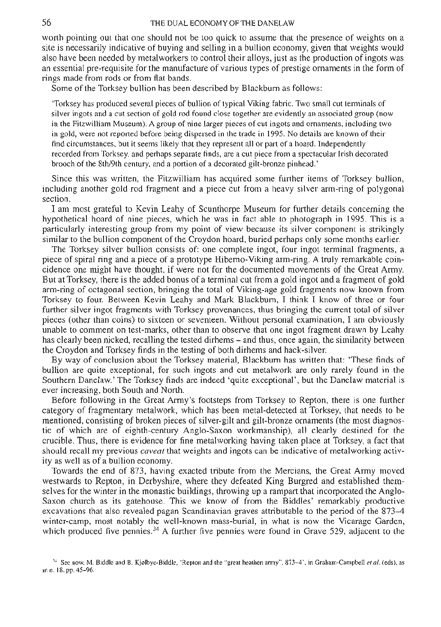worth pointing out that one should not be too quick to assume that the presence of weights on a site is necessarily indicative of buying and selling in a bullion economy, given that weights would also have been needed by metalworkers to control their alloys, just as the production of ingots was an essential pre-requisite for the manufacture of various types of prestige ornaments in the form of rings made from rods or from flat bands.

Some of the Torksey bullion has been described by Blackburn as follows:

'Torksey has produced several pieces of bullion of typical Viking fabric. Two small cut terminals of silver ingots and a cut section of gold rod found close together are evidently an associated group (now in the Fitzwilliam Museum). A group of nine larger pieces of cut ingots and ornaments, including two in gold, were not reported before being dispersed in the trade in 1995. No details are known of their<br>find circumstances, but it seems likely that they represent all or part of a hoard. Independently recorded from Torksey, and perhaps separate finds, are a cut piece from a spectacular Irish decorated brooch of the 8th/9th century, and a portion of a decorated gilt-bronze pinhead.'

Since this was written, the Fitzwilliam has acquired some further items of Torksey bullion, including another gold rod fragment and a piece cut from a heavy silver arm-ring of polygonal

I am most grateful to Kevin Leahy of Scunthorpe Museum for further details concerning the hypothetical hoard of nine pieces, which he was in fact able to photograph in 1995. This is a particularly interesting group from my point of view because its silver component is strikingly<br>similar to the bullion component of the Croydon hoard, buried perhaps only some months earlier.<br>The Torksey silver bullion con

cidence one might have thought, if were not for the documented movements of the Great Army.<br>But at Torksey, there is the added bonus of a terminal cut from a gold ingot and a fragment of gold arm-ring of octagonal section, bringing the total of Viking-age gold fragments now known from Torksey to four. Between Kevin Leahy and Mark Blackburn, I think I know of three or four further silver ingot fragments with Torksey provenances, thus bringing the current total of silver pieces (other than coins) to sixteen or seventeen. Without personal examination, I am obviously unable to comment on test-marks, other than to observe that one ingot fragment drawn by Leahy<br>has clearly been nicked, recalling the tested dirhems – and thus, once again, the similarity between<br>the Croydon and Torksey fin

By way of conclusion about the Torksey material, Blackburn has written that: 'These finds of bullion are quite exceptional, for such ingots and cut metalwork are only rarely found in the Southern Danelaw.' The Torksey finds are indeed 'quite exceptional', but the Danelaw material is ever increasing, both South and

Before following in the Great Army's footsteps from Torksey to Repton, there is one further category of fragmentary metalwork, which has been metal-detected at Torksey, that needs to be mentioned, consisting of broken pieces of silver-gilt and gilt-bronze ornaments (the most diagnostic of which are of eighth-century Anglo-Saxon workmanship), all clearly destined for the crucible. Thus, there is evidence for fine metalworking having taken place at Torksey, a fact that should recall my previous *caveat* 

ity as well as of a bullion economy.<br>Towards the end of 873, having exacted tribute from the Mercians, the Great Army moved<br>westwards to Repton, in Derbyshire, where they defeated King Burgred and established themselves for the winter in the monastic buildings, throwing up a rampart that incorporated the Anglo-<br>Saxon church as its gatehouse. This we know of from the Biddles' remarkably productive excavations that also revealed pagan Scandinavian graves attributable to the period of the 873-4 winter-camp, most notably the well-known mass-burial, in what is now the Vicarage Garden, which produced five pennies.<sup>34</sup> A further five pennies were found in Grave 529, adjacent to the

<sup>34</sup> See now, M. Biddle and B. Kj0lbye-Biddle, 'Repton and the "great heathen army", 873-4', in Graham-Campbell *et al.* (eds), as in n. 18. pp. 45-96.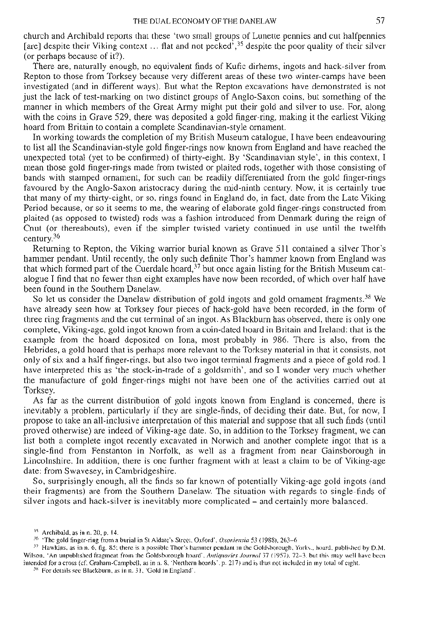church and Archibald reports that these 'two small groups of Lunette pennies and cut halfpennies [are] despite their Viking context ... flat and not pecked<sup>3</sup>,<sup>35</sup> despite the poor quality of their silver (or perhaps because of it?).

There are, naturally enough, no equivalent finds of Kufic dirhems, ingots and hack-silver from Repton to those from Torksey because very different areas of these two winter-camps have been investigated (and in different ways). But what the Repton excavations have demonstrated is not just the lack of test-marking on two distinct groups of Anglo-Saxon coins, but something of the manner in which members of the Great Army might put their gold and silver to use. For, along with the coins in Grave 529, there was deposited a gold finger-ring, making it the earliest Viking<br>hoard from Britain to contain a complete Scandinavian-style ornament.<br>In working towards the completion of my British Museu

unexpected total (yet to be confirmed) of thirty-eight. By 'Scandinavian style', in this context, I mean those gold finger-rings made from twisted or plaited rods, together with those consisting of bands with stamped ornament, for such can be readily differentiated from the gold finger-rings<br>favoured by the Anglo-Saxon aristocracy during the mid-ninth century. Now, it is certainly true<br>that many of my thirty-eight, o plaited (as opposed to twisted) rods was a fashion introduced from Denmark during the reign of Cnut (or thereabouts), even if the simpler twisted variety continued in use until the twelfth century.36

Returning to Repton, the Viking warrior burial known as Grave 511 contained a silver Thor's hammer pendant. Until recently, the only such definite Thor's hammer known from England was that which formed part of the Cuerdale hoard,<sup>37</sup> but once again listing for the British Museum cat-<br>alogue I find that no fewer than eight examples have now been recorded, of which over half have<br>been found in the Souther

So let us consider the Danelaw distribution of gold ingots and gold ornament fragments.<sup>38</sup> We have already seen how at Torksey four pieces of hack-gold have been recorded, in the form of three ring fragments and the cut t complete, Viking-age, gold ingot known from a coin-dated hoard in Britain and Ireland: that is the example from the hoard deposited on Iona, most probably in 986. There is also, from the Hebrides, a gold hoard that is perhaps more relevant to the Torksey material in that it consists, not only of six and a half finger-rings, but also two ingot terminal fragments and a piece of gold rod. I have interpreted this as 'the stock-in-trade of a goldsmith', and so I wonder very much whether the manufacture of gold finger-rings might not have been one of the activities carried out at

As far as the current distribution of gold ingots known from England is concerned, there is inevitably a problem, particularly if they are single-finds, of deciding their date. But, for now, I propose to take an all-inclusive interpretation of this material and suppose that all such finds (until proved otherwise) are indeed of Viking-age date. So, in addition to the Torksey fragment, we can list both a complete ingot recently excavated in Norwich and another complete ingot that is a single-find from Fenstanton in Norfolk, as well as a fragment from near Gainsborough in Lincolnshire. In addition, there is one further fragment with at least a claim to be of Viking-age

So, surprisingly enough, all the finds so far known of potentially Viking-age gold ingots (and their fragments) are from the Southern Danelaw. The situation with regards to single-finds of silver ingots and hack-silver is inevitably more complicated - and certainly more balanced.

<sup>&</sup>lt;sup>35</sup> Archibald, as in n. 20, p. 14.<br><sup>36</sup> 'The gold finger-ring from a burial in St Aldate's Street, Oxford', *Oxoniensia* 53 (1988), 263–6<br><sup>37</sup> Hawkins, as in n. 6, fig. 85; there is a possible Thor's hammer pendant in th intended for a cross (cf. Graham-Campbell, as in n. 8, 'Northern hoards', p. 217) and is thus not included in my total of eight. <sup>38</sup> For details see Blackburn, as in n. 31, 'Gold in England'.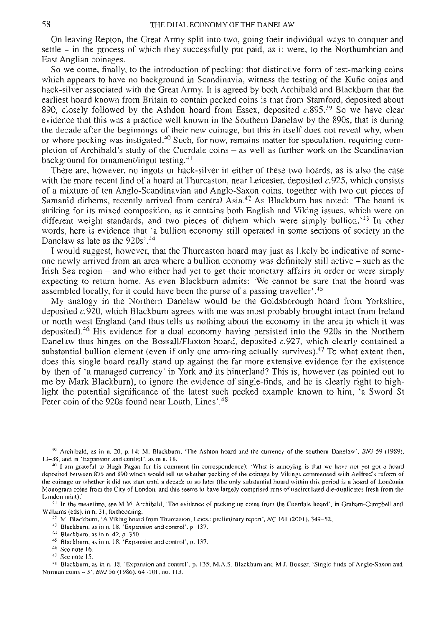58 **THE DUAL ECONOMY OF THE DANELAW**<br>On leaving Repton, the Great Army split into two, going their individual ways to conquer and settle – in the process of which they successfully put paid, as it were, to the Northumbrian and East Anglian coinages.

So we come, finally, to the introduction of pecking: that distinctive form of test-marking coins which appears to have no background in Scandinavia, witness the testing of the Kufic coins and hack-silver associated with the Great Army. It is agreed by both Archibald and Blackburn that the earliest hoard known from Bri 890, closely followed by the Ashdon hoard from Essex, deposited  $c.895$ <sup>39</sup> So we have clear evidence that this was a practice well known in the Southern Danelaw by the 890s, that is during the decade after the beginnings of their new coinage, but this in itself does not reveal why, when or where pecking was instigated.<sup>40</sup> Such, for now, remains matter for speculation, requiring com-<br>pletion of Archibald's study of the Cuerdale coins – as well as further work on the Scandinavian background for ornament/ingot testing.<sup>41</sup>

There are, however, no ingots or hack-silver in either of these two hoards, as is also the case with the more recent find of a hoard at Thurcaston, near Leicester, deposited c.925, which consists of a mixture of ten Anglo-Scandinavian and Anglo-Saxon coins, together with two cut pieces of Samanid dirhems, recently arrived from central Asia.<sup>42</sup> As Blackburn has noted: 'The hoard is striking for its mixed composition, as it contains both English and Viking issues, which were on different weight standards, and two pieces of dirhem which were simply bullion.<sup> $43$ </sup> In other words, here is evidence that 'a bullion economy still operated in some sections of society in the Danelaw as late as the 920s'.<sup>44</sup><br>I would suggest, however, that the Thurcaston hoard may just as likely be indicative of so

one newly arrived from an area where a bullion economy was definitely still active – such as the Irish Sea region – and who either had yet to get their monetary affairs in order or were simply expecting to return home. As even Blackburn admits: 'We cannot be sure that the hoard was assembled locally, for it could have been the purse of a passing traveller'.<sup>45</sup><br>My analogy in the Northern Danelaw would be the Goldsborough hoard from Yorkshire,

deposited  $c.920$ , which Blackburn agrees with me was most probably brought intact from Ireland or north-west England (and thus tells us nothing about the economy in the area in which it was deposited).<sup>46</sup> His evidence for a dual economy having persisted into the 920s in the Northern Danelaw thus hinges on the Bossall/Flaxton hoard, deposited  $c.927$ , which clearly contained a substantial bullion element (even if only one arm-ring actually survives).<sup>47</sup> To what extent then, does this single hoard really stand up against the far more extensive evidence for the existence by then of 'a managed currency' in York and its hinterland? This is, however (as pointed out to me by Mark Blackburn), to ignore the evidence of single-finds, and he is clearly right to highlight the potential significance of the latest such pecked example known to him, 'a Sword St Peter coin of the 920s found near Louth, Lincs'.<sup>48</sup>

<sup>49</sup> Archibald, as in n. 20, p. 14; M. Blackburn, 'The Ashton hoard and the currency of the southern Danelaw', *BNJ* 59 (1989), 13-38, and in 'Expansion and control', as in n. 18.<br><sup>40</sup> I am grateful to Hugh Pagan for his the coinage or whether it did not start until a decade or so later (the only substantial hoard within this period is a hoard of Londonia Monogram coins from the City of London, and this seems to have largely comprised runs of uncirculated die-duplicates fresh from the London mint).'<br><sup>41</sup> In the meantime, see M.M. Archibald, 'The evidence of pecking on coins

<sup>41</sup> In the meantime, see M.M. Archibald, "The evidence of pecking on coins from the Cuerdale hoard", in Graham-Campbell and<br>Williams (eds), in n. 31, forthcoming.<br><sup>42</sup> M Blackburn, "A Viking hoard from Thurcaston, Leics.

- 
- 
- 
- 
- 

<sup>48</sup> Blackburn, as in n. 18, 'Expansion and control', p. 135; M.A.S. Blackburn and M.J. Bonser, 'Single finds of Anglo-Saxon and Norman coins -- 3', *BNJ* 56 (1986), 64-101, no. 113.